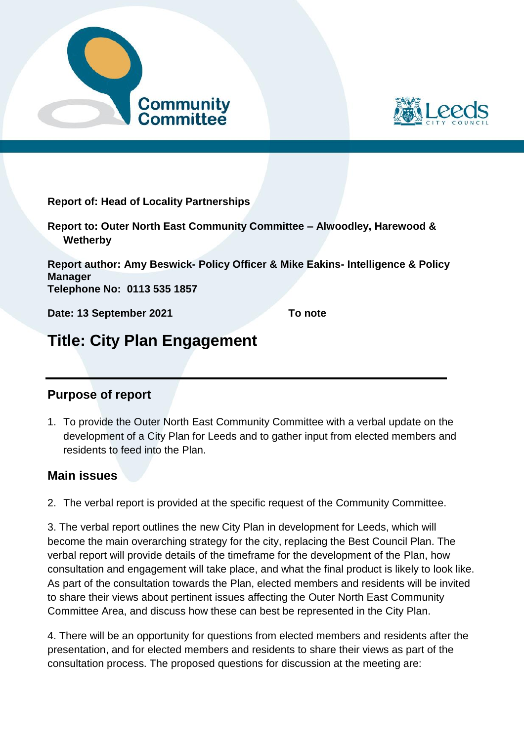



**Report of: Head of Locality Partnerships**

**Report to: Outer North East Community Committee – Alwoodley, Harewood & Wetherby**

**Report author: Amy Beswick- Policy Officer & Mike Eakins- Intelligence & Policy Manager Telephone No: 0113 535 1857**

**Date: 13 September 2021 To note** 

## **Title: City Plan Engagement**

## **Purpose of report**

1. To provide the Outer North East Community Committee with a verbal update on the development of a City Plan for Leeds and to gather input from elected members and residents to feed into the Plan.

## **Main issues**

2. The verbal report is provided at the specific request of the Community Committee.

3. The verbal report outlines the new City Plan in development for Leeds, which will become the main overarching strategy for the city, replacing the Best Council Plan. The verbal report will provide details of the timeframe for the development of the Plan, how consultation and engagement will take place, and what the final product is likely to look like. As part of the consultation towards the Plan, elected members and residents will be invited to share their views about pertinent issues affecting the Outer North East Community Committee Area, and discuss how these can best be represented in the City Plan.

4. There will be an opportunity for questions from elected members and residents after the presentation, and for elected members and residents to share their views as part of the consultation process. The proposed questions for discussion at the meeting are: